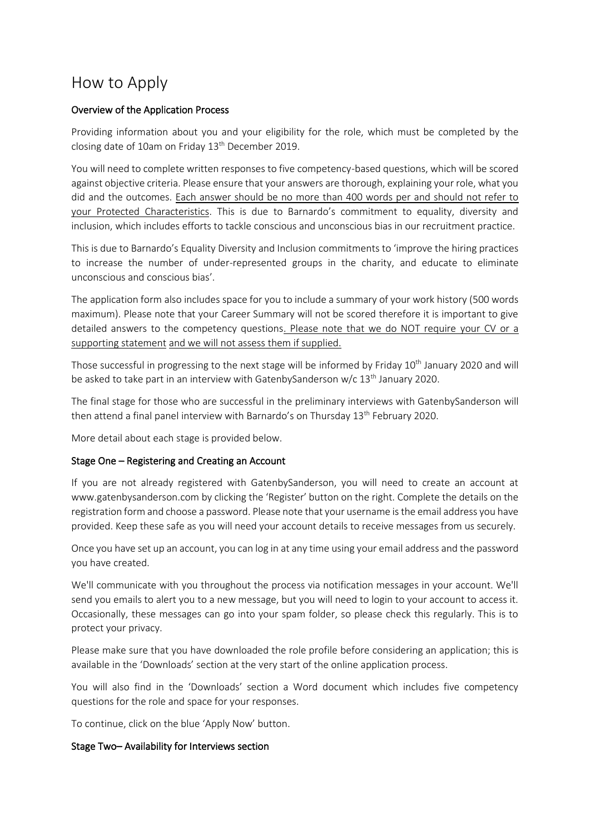# How to Apply

## Overview of the Application Process

Providing information about you and your eligibility for the role, which must be completed by the closing date of 10am on Friday 13<sup>th</sup> December 2019.

You will need to complete written responses to five competency-based questions, which will be scored against objective criteria. Please ensure that your answers are thorough, explaining your role, what you did and the outcomes. Each answer should be no more than 400 words per and should not refer to your Protected Characteristics. This is due to Barnardo's commitment to equality, diversity and inclusion, which includes efforts to tackle conscious and unconscious bias in our recruitment practice.

This is due to Barnardo's Equality Diversity and Inclusion commitments to 'improve the hiring practices to increase the number of under-represented groups in the charity, and educate to eliminate unconscious and conscious bias'.

The application form also includes space for you to include a summary of your work history (500 words maximum). Please note that your Career Summary will not be scored therefore it is important to give detailed answers to the competency questions. Please note that we do NOT require your CV or a supporting statement and we will not assess them if supplied.

Those successful in progressing to the next stage will be informed by Friday 10<sup>th</sup> January 2020 and will be asked to take part in an interview with Gatenby Sanderson  $w/c$  13<sup>th</sup> January 2020.

The final stage for those who are successful in the preliminary interviews with GatenbySanderson will then attend a final panel interview with Barnardo's on Thursday 13<sup>th</sup> February 2020.

More detail about each stage is provided below.

## Stage One – Registering and Creating an Account

If you are not already registered with GatenbySanderson, you will need to create an account at www.gatenbysanderson.com by clicking the 'Register' button on the right. Complete the details on the registration form and choose a password. Please note that your username is the email address you have provided. Keep these safe as you will need your account details to receive messages from us securely.

Once you have set up an account, you can log in at any time using your email address and the password you have created.

We'll communicate with you throughout the process via notification messages in your account. We'll send you emails to alert you to a new message, but you will need to login to your account to access it. Occasionally, these messages can go into your spam folder, so please check this regularly. This is to protect your privacy.

Please make sure that you have downloaded the role profile before considering an application; this is available in the 'Downloads' section at the very start of the online application process.

You will also find in the 'Downloads' section a Word document which includes five competency questions for the role and space for your responses.

To continue, click on the blue 'Apply Now' button.

## Stage Two– Availability for Interviews section